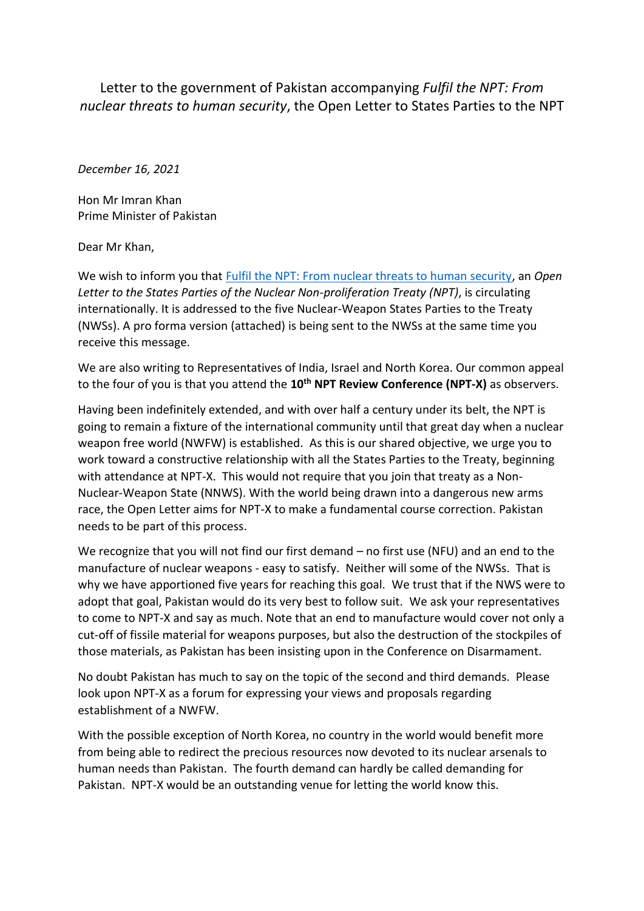Letter to the government of Pakistan accompanying *Fulfil the NPT: From nuclear threats to human security*, the Open Letter to States Parties to the NPT

*December 16, 2021*

Hon Mr Imran Khan Prime Minister of Pakistan

Dear Mr Khan,

We wish to inform you that [Fulfil the NPT: From nuclear threats to human security,](https://nofirstuse.global/fulfil-the-npt-from-nuclear-threats-to-human-security/) an *Open Letter to the States Parties of the Nuclear Non-proliferation Treaty (NPT)*, is circulating internationally. It is addressed to the five Nuclear-Weapon States Parties to the Treaty (NWSs). A pro forma version (attached) is being sent to the NWSs at the same time you receive this message.

We are also writing to Representatives of India, Israel and North Korea. Our common appeal to the four of you is that you attend the **10th NPT Review Conference (NPT-X)** as observers.

Having been indefinitely extended, and with over half a century under its belt, the NPT is going to remain a fixture of the international community until that great day when a nuclear weapon free world (NWFW) is established. As this is our shared objective, we urge you to work toward a constructive relationship with all the States Parties to the Treaty, beginning with attendance at NPT-X. This would not require that you join that treaty as a Non-Nuclear-Weapon State (NNWS). With the world being drawn into a dangerous new arms race, the Open Letter aims for NPT-X to make a fundamental course correction. Pakistan needs to be part of this process.

We recognize that you will not find our first demand – no first use (NFU) and an end to the manufacture of nuclear weapons - easy to satisfy. Neither will some of the NWSs. That is why we have apportioned five years for reaching this goal. We trust that if the NWS were to adopt that goal, Pakistan would do its very best to follow suit. We ask your representatives to come to NPT-X and say as much. Note that an end to manufacture would cover not only a cut-off of fissile material for weapons purposes, but also the destruction of the stockpiles of those materials, as Pakistan has been insisting upon in the Conference on Disarmament.

No doubt Pakistan has much to say on the topic of the second and third demands. Please look upon NPT-X as a forum for expressing your views and proposals regarding establishment of a NWFW.

With the possible exception of North Korea, no country in the world would benefit more from being able to redirect the precious resources now devoted to its nuclear arsenals to human needs than Pakistan. The fourth demand can hardly be called demanding for Pakistan. NPT-X would be an outstanding venue for letting the world know this.